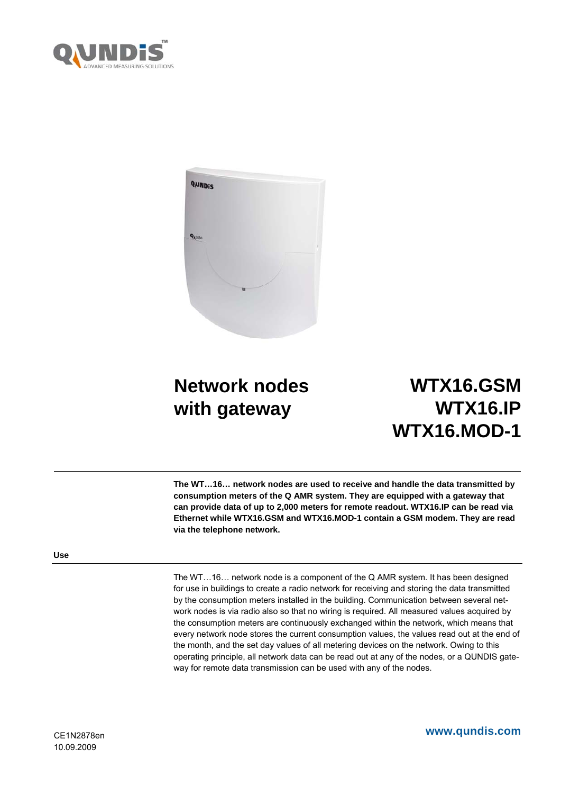



# **Network nodes with gateway**

# **WTX16.GSM WTX16.IP WTX16.MOD-1**

**The WT…16… network nodes are used to receive and handle the data transmitted by consumption meters of the Q AMR system. They are equipped with a gateway that can provide data of up to 2,000 meters for remote readout. WTX16.IP can be read via Ethernet while WTX16.GSM and WTX16.MOD-1 contain a GSM modem. They are read via the telephone network.** 

# **Use**

The WT…16… network node is a component of the Q AMR system. It has been designed for use in buildings to create a radio network for receiving and storing the data transmitted by the consumption meters installed in the building. Communication between several network nodes is via radio also so that no wiring is required. All measured values acquired by the consumption meters are continuously exchanged within the network, which means that every network node stores the current consumption values, the values read out at the end of the month, and the set day values of all metering devices on the network. Owing to this operating principle, all network data can be read out at any of the nodes, or a QUNDIS gateway for remote data transmission can be used with any of the nodes.

**www.qundis.com**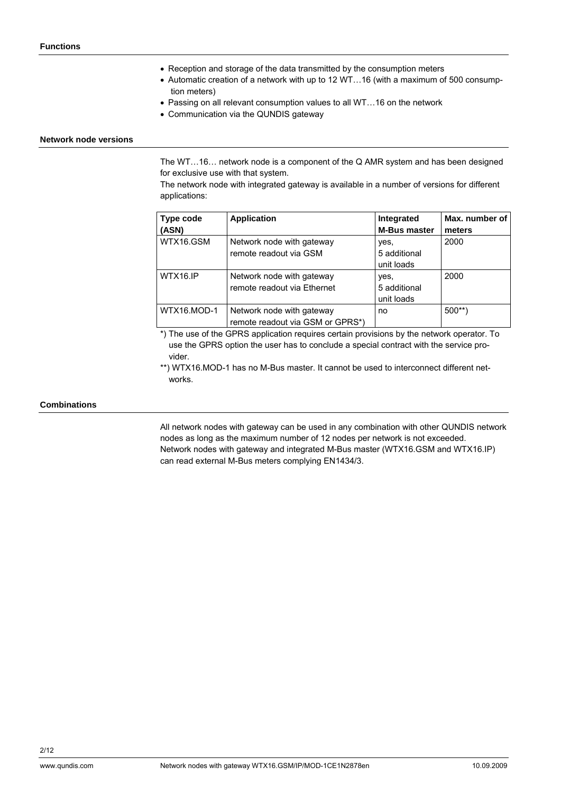- Reception and storage of the data transmitted by the consumption meters
- Automatic creation of a network with up to 12 WT…16 (with a maximum of 500 consumption meters)
- Passing on all relevant consumption values to all WT...16 on the network
- Communication via the QUNDIS gateway

#### **Network node versions**

The WT…16… network node is a component of the Q AMR system and has been designed for exclusive use with that system.

The network node with integrated gateway is available in a number of versions for different applications:

| Type code<br>(ASN) | <b>Application</b>                                            | Integrated<br><b>M-Bus master</b>  | Max. number of<br>meters |
|--------------------|---------------------------------------------------------------|------------------------------------|--------------------------|
| WTX16.GSM          | Network node with gateway<br>remote readout via GSM           | yes,<br>5 additional<br>unit loads | 2000                     |
| WTX16.IP           | Network node with gateway<br>remote readout via Ethernet      | yes,<br>5 additional<br>unit loads | 2000                     |
| WTX16.MOD-1        | Network node with gateway<br>remote readout via GSM or GPRS*) | no                                 | $500**$                  |

\*) The use of the GPRS application requires certain provisions by the network operator. To use the GPRS option the user has to conclude a special contract with the service provider.

\*\*) WTX16.MOD-1 has no M-Bus master. It cannot be used to interconnect different networks.

## **Combinations**

All network nodes with gateway can be used in any combination with other QUNDIS network nodes as long as the maximum number of 12 nodes per network is not exceeded. Network nodes with gateway and integrated M-Bus master (WTX16.GSM and WTX16.IP) can read external M-Bus meters complying EN1434/3.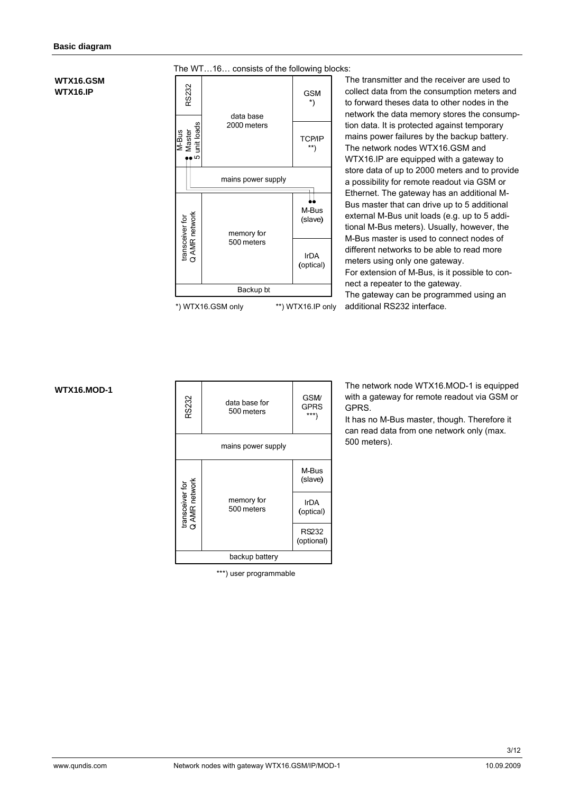## **WTX16.GSM WTX16.IP**



The transmitter and the receiver are used to collect data from the consumption meters and to forward theses data to other nodes in the network the data memory stores the consumption data. It is protected against temporary mains power failures by the backup battery. The network nodes WTX16.GSM and WTX16.IP are equipped with a gateway to store data of up to 2000 meters and to provide a possibility for remote readout via GSM or Ethernet. The gateway has an additional M-Bus master that can drive up to 5 additional external M-Bus unit loads (e.g. up to 5 additional M-Bus meters). Usually, however, the M-Bus master is used to connect nodes of different networks to be able to read more meters using only one gateway. For extension of M-Bus, is it possible to connect a repeater to the gateway. The gateway can be programmed using an additional RS232 interface.

**WTX16.MOD-1** 

| RS232                            | data base for<br>500 meters | <b>GSM/</b><br>GPRS<br>***\ |  |
|----------------------------------|-----------------------------|-----------------------------|--|
|                                  | mains power supply          |                             |  |
|                                  | memory for<br>500 meters    | M-Bus<br>(slave)            |  |
| transceiver for<br>Q AMR network |                             | <b>IrDA</b><br>(optical)    |  |
|                                  |                             | <b>RS232</b><br>(optional)  |  |
|                                  | backup battery              |                             |  |

\*\*\*) user programmable

The network node WTX16.MOD-1 is equipped with a gateway for remote readout via GSM or GPRS.

It has no M-Bus master, though. Therefore it can read data from one network only (max. 500 meters).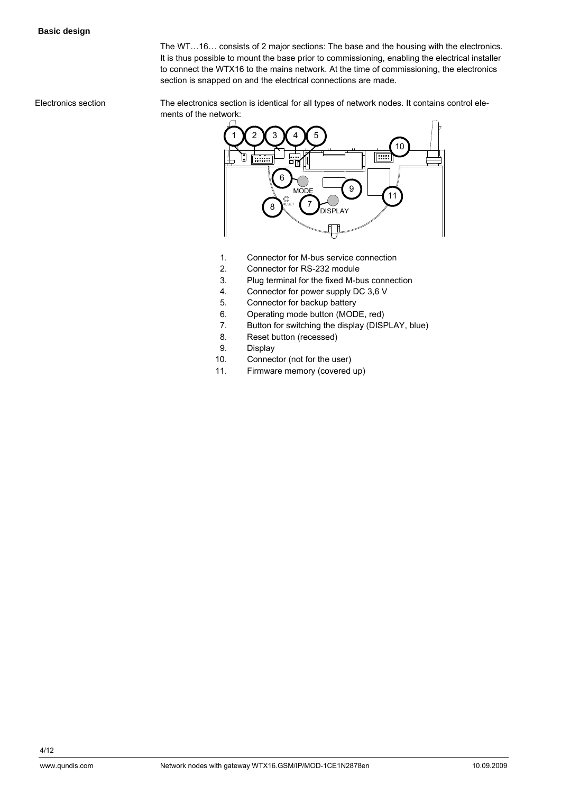The WT…16… consists of 2 major sections: The base and the housing with the electronics. It is thus possible to mount the base prior to commissioning, enabling the electrical installer to connect the WTX16 to the mains network. At the time of commissioning, the electronics section is snapped on and the electrical connections are made.

The electronics section is identical for all types of network nodes. It contains control elements of the network: Electronics section



- 1. Connector for M-bus service connection
- 2. Connector for RS-232 module
- 3. Plug terminal for the fixed M-bus connection
- 4. Connector for power supply DC 3,6 V
- 5. Connector for backup battery
- 6. Operating mode button (MODE, red)
- 7. Button for switching the display (DISPLAY, blue)
- 8. Reset button (recessed)
- 9. Display
- 10. Connector (not for the user)
- 11. Firmware memory (covered up)

4/12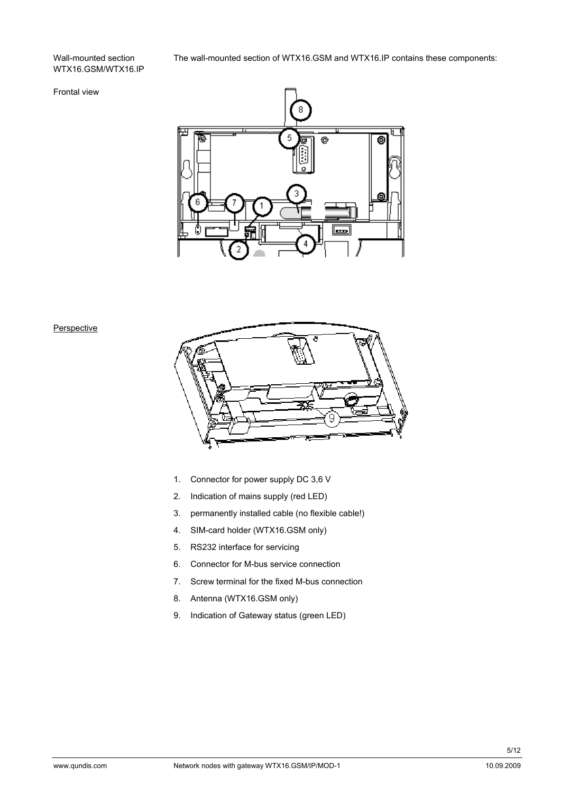## Wall-mounted section WTX16.GSM/WTX16.IP

# The wall-mounted section of WTX16.GSM and WTX16.IP contains these components:

# Frontal view



## **Perspective**



- 1. Connector for power supply DC 3,6 V
- 2. Indication of mains supply (red LED)
- 3. permanently installed cable (no flexible cable!)
- 4. SIM-card holder (WTX16.GSM only)
- 5. RS232 interface for servicing
- 6. Connector for M-bus service connection
- 7. Screw terminal for the fixed M-bus connection
- 8. Antenna (WTX16.GSM only)
- 9. Indication of Gateway status (green LED)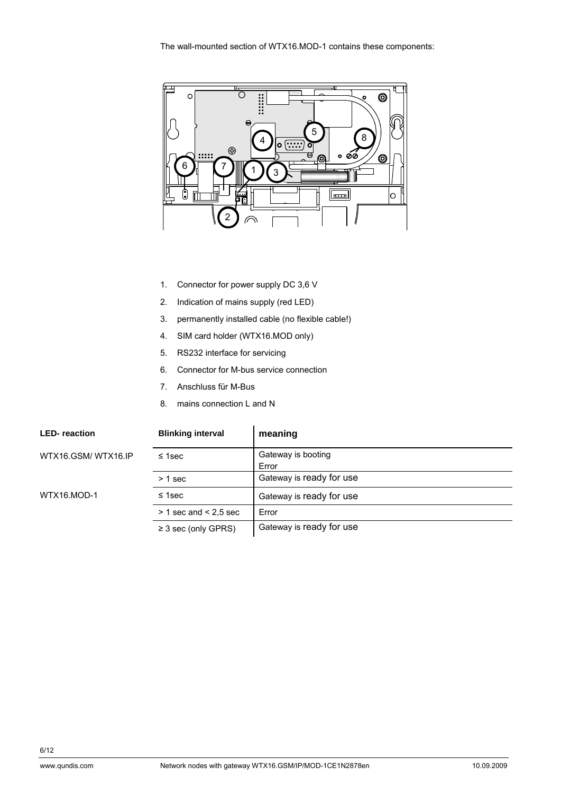

- 1. Connector for power supply DC 3,6 V
- 2. Indication of mains supply (red LED)
- 3. permanently installed cable (no flexible cable!)
- 4. SIM card holder (WTX16.MOD only)
- 5. RS232 interface for servicing
- 6. Connector for M-bus service connection
- 7. Anschluss für M-Bus
- 8. mains connection L and N

| <b>LED-reaction</b> | <b>Blinking interval</b>  | meaning                     |
|---------------------|---------------------------|-----------------------------|
| WTX16.GSM/WTX16.IP  | $\leq$ 1sec               | Gateway is booting<br>Error |
|                     | $> 1$ sec                 | Gateway is ready for use    |
| WTX16.MOD-1         | $\leq$ 1sec               | Gateway is ready for use    |
|                     | $>$ 1 sec and $<$ 2,5 sec | Error                       |
|                     | $\geq$ 3 sec (only GPRS)  | Gateway is ready for use    |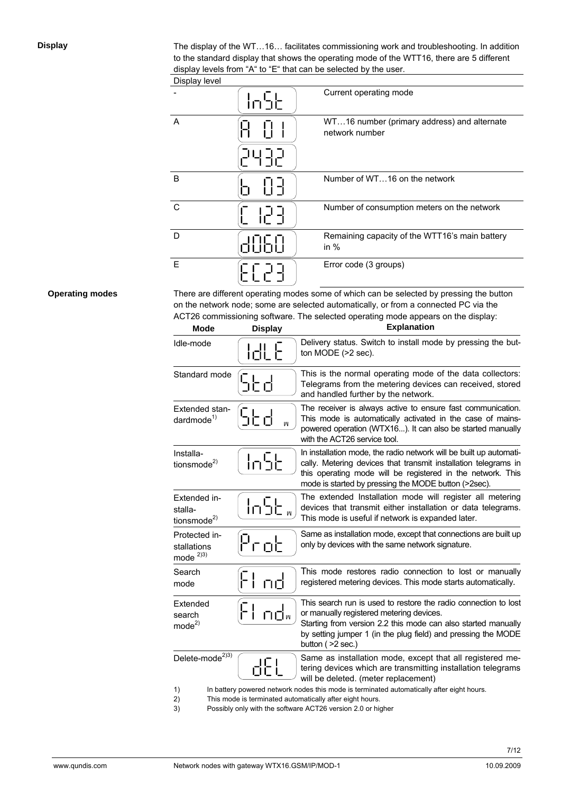**Display** 

The display of the WT…16… facilitates commissioning work and troubleshooting. In addition to the standard display that shows the operating mode of the WTT16, there are 5 different display levels from "A" to "E" that can be selected by the user.

| Display level |               |                                                               |
|---------------|---------------|---------------------------------------------------------------|
|               | <u>ור'חוֹ</u> | Current operating mode                                        |
| A             |               | WT16 number (primary address) and alternate<br>network number |
| B             |               | Number of WT16 on the network                                 |
| C             |               | Number of consumption meters on the network                   |
| D             |               | Remaining capacity of the WTT16's main battery<br>in $%$      |
| E             |               | Error code (3 groups)                                         |

### **Operating modes**

There are different operating modes some of which can be selected by pressing the button on the network node; some are selected automatically, or from a connected PC via the ACT26 commissioning software. The selected operating mode appears on the display:

| <b>Mode</b>                                        | <b>Display</b> | <b>Explanation</b>                                                                                                                                                                                                                                                  |
|----------------------------------------------------|----------------|---------------------------------------------------------------------------------------------------------------------------------------------------------------------------------------------------------------------------------------------------------------------|
| Idle-mode                                          | <u>Idl E</u>   | Delivery status. Switch to install mode by pressing the but-<br>ton MODE (>2 sec).                                                                                                                                                                                  |
| Standard mode                                      | SŁd            | This is the normal operating mode of the data collectors:<br>Telegrams from the metering devices can received, stored<br>and handled further by the network.                                                                                                        |
| Extended stan-<br>dardmode $1$                     | っとす<br>W       | The receiver is always active to ensure fast communication.<br>This mode is automatically activated in the case of mains-<br>powered operation (WTX16). It can also be started manually<br>with the ACT26 service tool.                                             |
| Installa-<br>tionsmode <sup>2)</sup>               | ln5t           | In installation mode, the radio network will be built up automati-<br>cally. Metering devices that transmit installation telegrams in<br>this operating mode will be registered in the network. This<br>mode is started by pressing the MODE button (>2sec).        |
| Extended in-<br>stalla-<br>tionsmode <sup>2)</sup> | $ln5E_{w}$     | The extended Installation mode will register all metering<br>devices that transmit either installation or data telegrams.<br>This mode is useful if network is expanded later.                                                                                      |
| Protected in-<br>stallations<br>mode $^{2)3}$      | Prob           | Same as installation mode, except that connections are built up<br>only by devices with the same network signature.                                                                                                                                                 |
| Search<br>mode                                     | nd             | This mode restores radio connection to lost or manually<br>registered metering devices. This mode starts automatically.                                                                                                                                             |
| Extended<br>search<br>mode <sup>2</sup>            | ப்⊡்∝          | This search run is used to restore the radio connection to lost<br>or manually registered metering devices.<br>Starting from version 2.2 this mode can also started manually<br>by setting jumper 1 (in the plug field) and pressing the MODE<br>button ( > 2 sec.) |
| Delete-mode <sup>2)3)</sup>                        | dEL            | Same as installation mode, except that all registered me-<br>tering devices which are transmitting installation telegrams<br>will be deleted. (meter replacement)                                                                                                   |
| 1)<br>2)                                           |                | In battery powered network nodes this mode is terminated automatically after eight hours.<br>This mode is terminated automatically after eight hours.                                                                                                               |

3) Possibly only with the software ACT26 version 2.0 or higher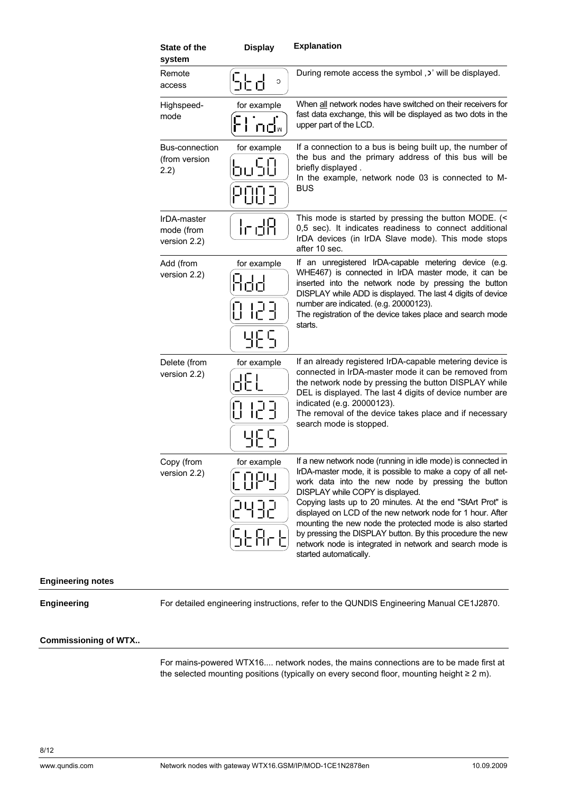| <b>State of the</b><br>system             | <b>Display</b>                         | <b>Explanation</b>                                                                                                                                                                                                                                                                                                                                                                                                                                                                                                                                               |
|-------------------------------------------|----------------------------------------|------------------------------------------------------------------------------------------------------------------------------------------------------------------------------------------------------------------------------------------------------------------------------------------------------------------------------------------------------------------------------------------------------------------------------------------------------------------------------------------------------------------------------------------------------------------|
| Remote<br>access                          | りにす<br>C                               | During remote access the symbol, b' will be displayed.                                                                                                                                                                                                                                                                                                                                                                                                                                                                                                           |
| Highspeed-<br>mode                        | for example<br>ப்ப்∝                   | When all network nodes have switched on their receivers for<br>fast data exchange, this will be displayed as two dots in the<br>upper part of the LCD.                                                                                                                                                                                                                                                                                                                                                                                                           |
| Bus-connection<br>(from version<br>2.2)   | for example<br>uSO<br>POOL             | If a connection to a bus is being built up, the number of<br>the bus and the primary address of this bus will be<br>briefly displayed.<br>In the example, network node 03 is connected to M-<br><b>BUS</b>                                                                                                                                                                                                                                                                                                                                                       |
| IrDA-master<br>mode (from<br>version 2.2) | IrdR                                   | This mode is started by pressing the button MODE. (<<br>0,5 sec). It indicates readiness to connect additional<br>IrDA devices (in IrDA Slave mode). This mode stops<br>after 10 sec.                                                                                                                                                                                                                                                                                                                                                                            |
| Add (from<br>version 2.2)                 | for example<br>188<br>8 123<br>985     | If an unregistered IrDA-capable metering device (e.g.<br>WHE467) is connected in IrDA master mode, it can be<br>inserted into the network node by pressing the button<br>DISPLAY while ADD is displayed. The last 4 digits of device<br>number are indicated. (e.g. 20000123).<br>The registration of the device takes place and search mode<br>starts.                                                                                                                                                                                                          |
| Delete (from<br>version 2.2)              | for example<br>0 123<br><u> 내년다</u>    | If an already registered IrDA-capable metering device is<br>connected in IrDA-master mode it can be removed from<br>the network node by pressing the button DISPLAY while<br>DEL is displayed. The last 4 digits of device number are<br>indicated (e.g. 20000123).<br>The removal of the device takes place and if necessary<br>search mode is stopped.                                                                                                                                                                                                         |
| Copy (from<br>version 2.2)                | for example<br><u> 그녀 귀</u> 군<br>SEArE | If a new network node (running in idle mode) is connected in<br>IrDA-master mode, it is possible to make a copy of all net-<br>work data into the new node by pressing the button<br>DISPLAY while COPY is displayed.<br>Copying lasts up to 20 minutes. At the end "StArt Prot" is<br>displayed on LCD of the new network node for 1 hour. After<br>mounting the new node the protected mode is also started<br>by pressing the DISPLAY button. By this procedure the new<br>network node is integrated in network and search mode is<br>started automatically. |

## **Engineering notes**

**Engineering** 

For detailed engineering instructions, refer to the QUNDIS Engineering Manual CE1J2870.

### **Commissioning of WTX..**

For mains-powered WTX16.... network nodes, the mains connections are to be made first at the selected mounting positions (typically on every second floor, mounting height ≥ 2 m).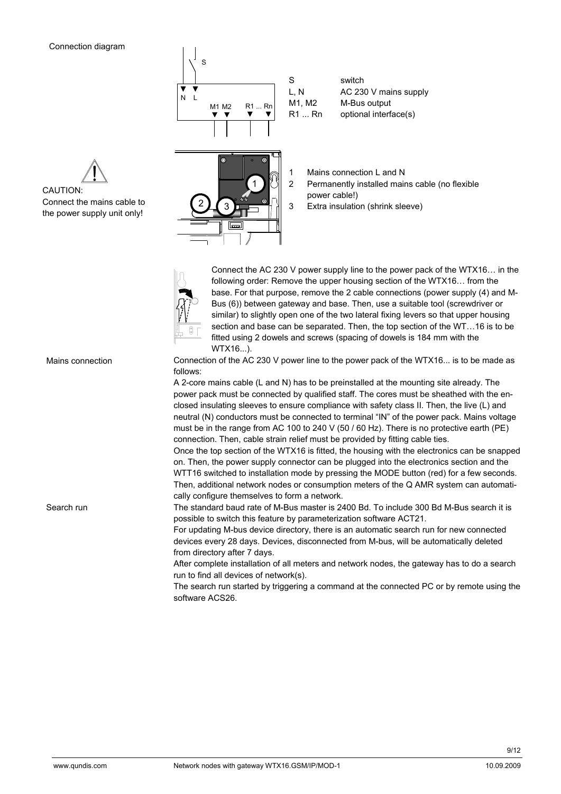

S switch L, N AC 230 V mains supply M1, M2 M-Bus output R1 ... Rn optional interface(s)

1  $2\int$  3

- 1 Mains connection L and N
- 2 Permanently installed mains cable (no flexible power cable!)
- 3 Extra insulation (shrink sleeve)



Connect the AC 230 V power supply line to the power pack of the WTX16… in the following order: Remove the upper housing section of the WTX16… from the base. For that purpose, remove the 2 cable connections (power supply (4) and M-Bus (6)) between gateway and base. Then, use a suitable tool (screwdriver or similar) to slightly open one of the two lateral fixing levers so that upper housing section and base can be separated. Then, the top section of the WT…16 is to be fitted using 2 dowels and screws (spacing of dowels is 184 mm with the WTX16...).

Connection of the AC 230 V power line to the power pack of the WTX16... is to be made as follows:

A 2-core mains cable (L and N) has to be preinstalled at the mounting site already. The power pack must be connected by qualified staff. The cores must be sheathed with the enclosed insulating sleeves to ensure compliance with safety class II. Then, the live (L) and neutral (N) conductors must be connected to terminal "IN" of the power pack. Mains voltage must be in the range from AC 100 to 240 V (50 / 60 Hz). There is no protective earth (PE) connection. Then, cable strain relief must be provided by fitting cable ties.

Once the top section of the WTX16 is fitted, the housing with the electronics can be snapped on. Then, the power supply connector can be plugged into the electronics section and the WTT16 switched to installation mode by pressing the MODE button (red) for a few seconds. Then, additional network nodes or consumption meters of the Q AMR system can automatically configure themselves to form a network.

The standard baud rate of M-Bus master is 2400 Bd. To include 300 Bd M-Bus search it is possible to switch this feature by parameterization software ACT21.

For updating M-bus device directory, there is an automatic search run for new connected devices every 28 days. Devices, disconnected from M-bus, will be automatically deleted from directory after 7 days.

After complete installation of all meters and network nodes, the gateway has to do a search run to find all devices of network(s).

The search run started by triggering a command at the connected PC or by remote using the software ACS26.





Mains connection

Search run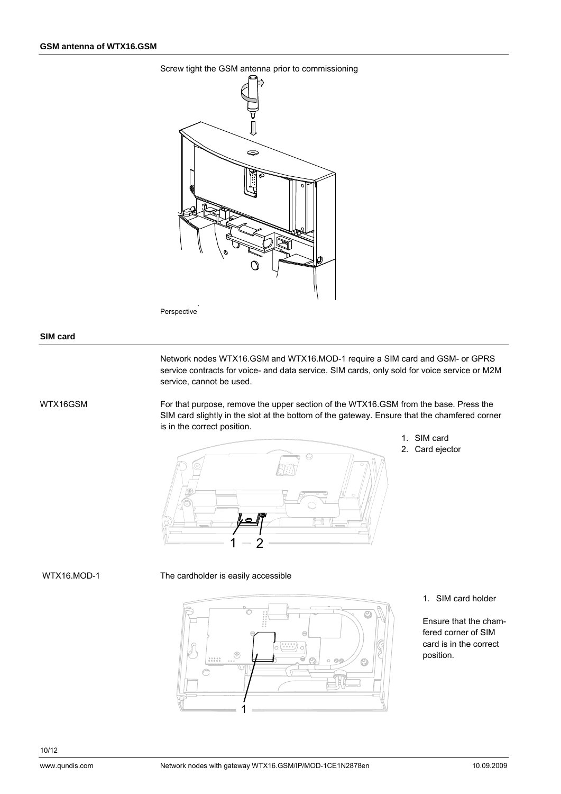

Perspective

#### **SIM card**

Network nodes WTX16.GSM and WTX16.MOD-1 require a SIM card and GSM- or GPRS service contracts for voice- and data service. SIM cards, only sold for voice service or M2M service, cannot be used.

#### WTX16GSM

For that purpose, remove the upper section of the WTX16.GSM from the base. Press the SIM card slightly in the slot at the bottom of the gateway. Ensure that the chamfered corner is in the correct position.



- 1. SIM card
- 2. Card ejector

#### WTX16.MOD-1

# The cardholder is easily accessible

 $\mathbb{G}$  $1.1.1$ 1 1. SIM card holder

Ensure that the chamfered corner of SIM card is in the correct position.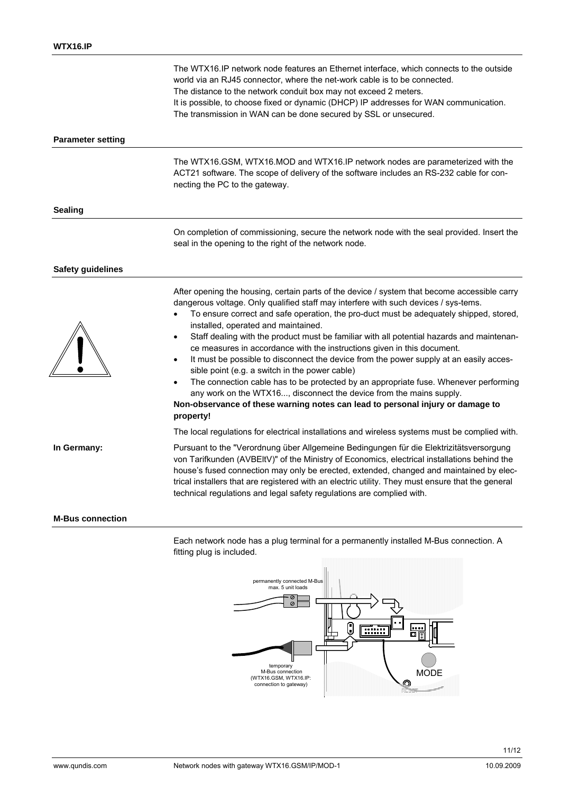|                          | The WTX16.IP network node features an Ethernet interface, which connects to the outside<br>world via an RJ45 connector, where the net-work cable is to be connected.<br>The distance to the network conduit box may not exceed 2 meters.<br>It is possible, to choose fixed or dynamic (DHCP) IP addresses for WAN communication.<br>The transmission in WAN can be done secured by SSL or unsecured.                                                                                                                                                                                                                                                                                                                                                                                                                                                                                                                            |
|--------------------------|----------------------------------------------------------------------------------------------------------------------------------------------------------------------------------------------------------------------------------------------------------------------------------------------------------------------------------------------------------------------------------------------------------------------------------------------------------------------------------------------------------------------------------------------------------------------------------------------------------------------------------------------------------------------------------------------------------------------------------------------------------------------------------------------------------------------------------------------------------------------------------------------------------------------------------|
| <b>Parameter setting</b> |                                                                                                                                                                                                                                                                                                                                                                                                                                                                                                                                                                                                                                                                                                                                                                                                                                                                                                                                  |
|                          | The WTX16.GSM, WTX16.MOD and WTX16.IP network nodes are parameterized with the<br>ACT21 software. The scope of delivery of the software includes an RS-232 cable for con-<br>necting the PC to the gateway.                                                                                                                                                                                                                                                                                                                                                                                                                                                                                                                                                                                                                                                                                                                      |
| <b>Sealing</b>           |                                                                                                                                                                                                                                                                                                                                                                                                                                                                                                                                                                                                                                                                                                                                                                                                                                                                                                                                  |
|                          | On completion of commissioning, secure the network node with the seal provided. Insert the<br>seal in the opening to the right of the network node.                                                                                                                                                                                                                                                                                                                                                                                                                                                                                                                                                                                                                                                                                                                                                                              |
| <b>Safety guidelines</b> |                                                                                                                                                                                                                                                                                                                                                                                                                                                                                                                                                                                                                                                                                                                                                                                                                                                                                                                                  |
|                          | After opening the housing, certain parts of the device / system that become accessible carry<br>dangerous voltage. Only qualified staff may interfere with such devices / sys-tems.<br>To ensure correct and safe operation, the pro-duct must be adequately shipped, stored,<br>installed, operated and maintained.<br>Staff dealing with the product must be familiar with all potential hazards and maintenan-<br>$\bullet$<br>ce measures in accordance with the instructions given in this document.<br>It must be possible to disconnect the device from the power supply at an easily acces-<br>sible point (e.g. a switch in the power cable)<br>The connection cable has to be protected by an appropriate fuse. Whenever performing<br>$\bullet$<br>any work on the WTX16, disconnect the device from the mains supply.<br>Non-observance of these warning notes can lead to personal injury or damage to<br>property! |
|                          | The local regulations for electrical installations and wireless systems must be complied with.                                                                                                                                                                                                                                                                                                                                                                                                                                                                                                                                                                                                                                                                                                                                                                                                                                   |
| In Germany:              | Pursuant to the "Verordnung über Allgemeine Bedingungen für die Elektrizitätsversorgung<br>von Tarifkunden (AVBEltV)" of the Ministry of Economics, electrical installations behind the<br>house's fused connection may only be erected, extended, changed and maintained by elec-<br>trical installers that are registered with an electric utility. They must ensure that the general<br>technical regulations and legal safety regulations are complied with.                                                                                                                                                                                                                                                                                                                                                                                                                                                                 |
| <b>M-Bus connection</b>  |                                                                                                                                                                                                                                                                                                                                                                                                                                                                                                                                                                                                                                                                                                                                                                                                                                                                                                                                  |

Each network node has a plug terminal for a permanently installed M-Bus connection. A fitting plug is included.